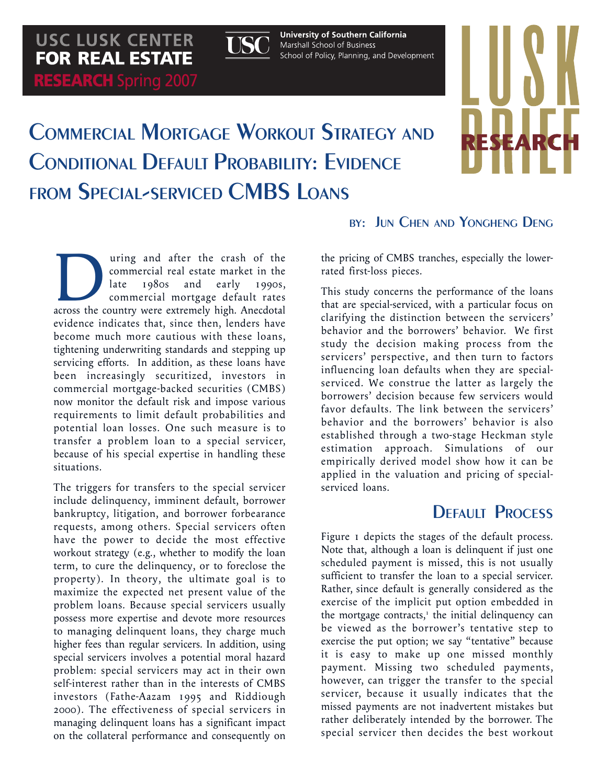

**University of Southern California** Marshall School of Business School of Policy, Planning, and Development

# COMMERCIAL MORTGAGE WORKOUT STRATEGY AND CONDITIONAL DEFAULT PROBABILITY: EVIDENCE FROM SPECIAL-SERVICED CMBS LOANS

BY: JUN CHEN AND YONGHENG DENG

**RESEARC** 

and after the crash of the commercial real estate market in the late 1980s and early 1990s, commercial mortgage default rates across the country were extremely high. Anecdotal commercial real estate market in the late 1980s and early 1990s, commercial mortgage default rates evidence indicates that, since then, lenders have become much more cautious with these loans, tightening underwriting standards and stepping up servicing efforts. In addition, as these loans have been increasingly securitized, investors in commercial mortgage-backed securities (CMBS) now monitor the default risk and impose various requirements to limit default probabilities and potential loan losses. One such measure is to transfer a problem loan to a special servicer, because of his special expertise in handling these situations.

The triggers for transfers to the special servicer include delinquency, imminent default, borrower bankruptcy, litigation, and borrower forbearance requests, among others. Special servicers often have the power to decide the most effective workout strategy (e.g., whether to modify the loan term, to cure the delinquency, or to foreclose the property). In theory, the ultimate goal is to maximize the expected net present value of the problem loans. Because special servicers usually possess more expertise and devote more resources to managing delinquent loans, they charge much higher fees than regular servicers. In addition, using special servicers involves a potential moral hazard problem: special servicers may act in their own self-interest rather than in the interests of CMBS investors (Fathe-Aazam 1995 and Riddiough 2000). The effectiveness of special servicers in managing delinquent loans has a significant impact on the collateral performance and consequently on

the pricing of CMBS tranches, especially the lowerrated first-loss pieces.

This study concerns the performance of the loans that are special-serviced, with a particular focus on clarifying the distinction between the servicers' behavior and the borrowers' behavior. We first study the decision making process from the servicers' perspective, and then turn to factors influencing loan defaults when they are specialserviced. We construe the latter as largely the borrowers' decision because few servicers would favor defaults. The link between the servicers' behavior and the borrowers' behavior is also established through a two-stage Heckman style estimation approach. Simulations of our empirically derived model show how it can be applied in the valuation and pricing of specialserviced loans.

#### **DEFAULT PROCESS**

Figure 1 depicts the stages of the default process. Note that, although a loan is delinquent if just one scheduled payment is missed, this is not usually sufficient to transfer the loan to a special servicer. Rather, since default is generally considered as the exercise of the implicit put option embedded in the mortgage contracts,<sup>1</sup> the initial delinquency can be viewed as the borrower's tentative step to exercise the put option; we say "tentative" because it is easy to make up one missed monthly payment. Missing two scheduled payments, however, can trigger the transfer to the special servicer, because it usually indicates that the missed payments are not inadvertent mistakes but rather deliberately intended by the borrower. The special servicer then decides the best workout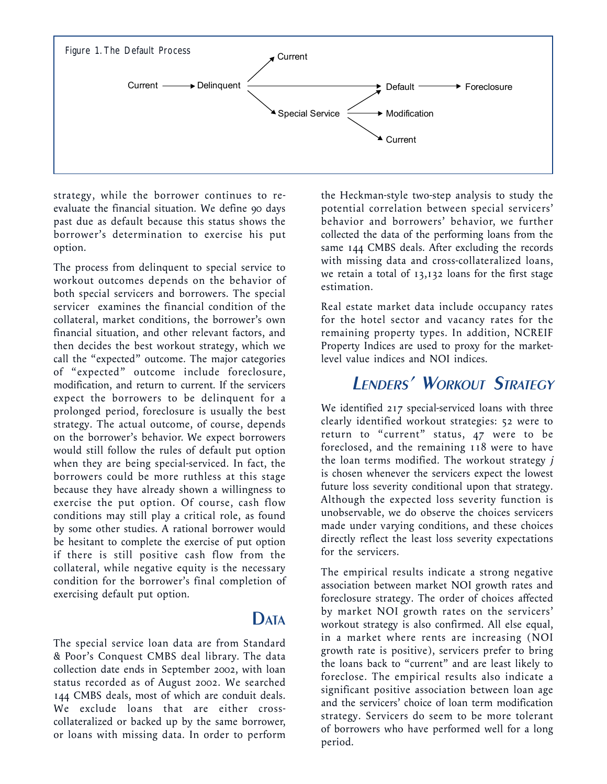

strategy, while the borrower continues to reevaluate the financial situation. We define 90 days past due as default because this status shows the borrower's determination to exercise his put option.

The process from delinquent to special service to workout outcomes depends on the behavior of both special servicers and borrowers. The special servicer examines the financial condition of the collateral, market conditions, the borrower's own financial situation, and other relevant factors, and then decides the best workout strategy, which we call the "expected" outcome. The major categories of "expected" outcome include foreclosure, modification, and return to current. If the servicers expect the borrowers to be delinquent for a prolonged period, foreclosure is usually the best strategy. The actual outcome, of course, depends on the borrower's behavior. We expect borrowers would still follow the rules of default put option when they are being special-serviced. In fact, the borrowers could be more ruthless at this stage because they have already shown a willingness to exercise the put option. Of course, cash flow conditions may still play a critical role, as found by some other studies. A rational borrower would be hesitant to complete the exercise of put option if there is still positive cash flow from the collateral, while negative equity is the necessary condition for the borrower's final completion of exercising default put option.

The special service loan data are from Standard & Poor's Conquest CMBS deal library. The data collection date ends in September 2002, with loan status recorded as of August 2002. We searched 144 CMBS deals, most of which are conduit deals. We exclude loans that are either crosscollateralized or backed up by the same borrower, or loans with missing data. In order to perform

DATA

the Heckman-style two-step analysis to study the potential correlation between special servicers' behavior and borrowers' behavior, we further collected the data of the performing loans from the same 144 CMBS deals. After excluding the records with missing data and cross-collateralized loans, we retain a total of 13,132 loans for the first stage estimation.

Real estate market data include occupancy rates for the hotel sector and vacancy rates for the remaining property types. In addition, NCREIF Property Indices are used to proxy for the marketlevel value indices and NOI indices.

#### LENDERS' WORKOUT STRATEGY

We identified 217 special-serviced loans with three clearly identified workout strategies: 52 were to return to "current" status, 47 were to be foreclosed, and the remaining 118 were to have the loan terms modified. The workout strategy j is chosen whenever the servicers expect the lowest future loss severity conditional upon that strategy. Although the expected loss severity function is unobservable, we do observe the choices servicers made under varying conditions, and these choices directly reflect the least loss severity expectations for the servicers.

The empirical results indicate a strong negative association between market NOI growth rates and foreclosure strategy. The order of choices affected by market NOI growth rates on the servicers' workout strategy is also confirmed. All else equal, in a market where rents are increasing (NOI growth rate is positive), servicers prefer to bring the loans back to "current" and are least likely to foreclose. The empirical results also indicate a significant positive association between loan age and the servicers' choice of loan term modification strategy. Servicers do seem to be more tolerant of borrowers who have performed well for a long period.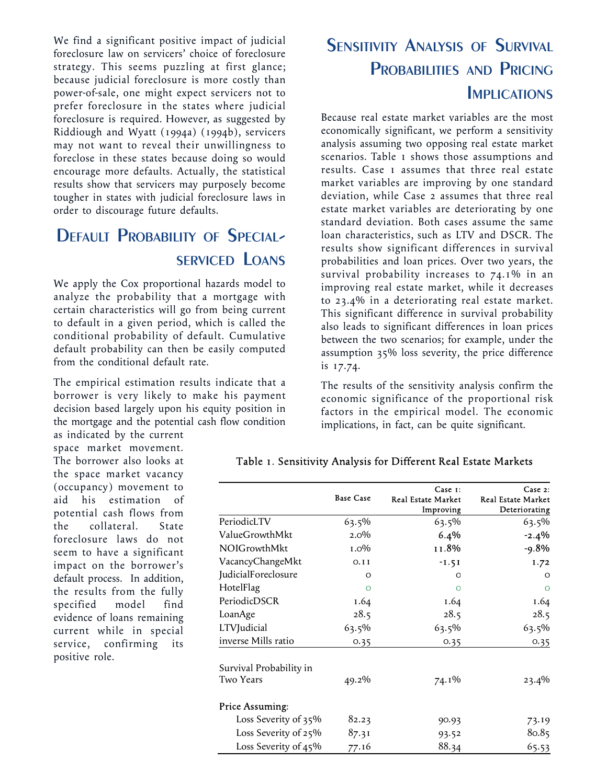We find a significant positive impact of judicial foreclosure law on servicers' choice of foreclosure strategy. This seems puzzling at first glance; because judicial foreclosure is more costly than power-of-sale, one might expect servicers not to prefer foreclosure in the states where judicial foreclosure is required. However, as suggested by Riddiough and Wyatt (1994a) (1994b), servicers may not want to reveal their unwillingness to foreclose in these states because doing so would encourage more defaults. Actually, the statistical results show that servicers may purposely become tougher in states with judicial foreclosure laws in order to discourage future defaults.

### DEFAULT PROBABILITY OF SPECIAL-SERVICED LOANS

We apply the Cox proportional hazards model to analyze the probability that a mortgage with certain characteristics will go from being current to default in a given period, which is called the conditional probability of default. Cumulative default probability can then be easily computed from the conditional default rate.

The empirical estimation results indicate that a borrower is very likely to make his payment decision based largely upon his equity position in the mortgage and the potential cash flow condition

as indicated by the current space market movement. The borrower also looks at the space market vacancy (occupancy) movement to aid his estimation of potential cash flows from the collateral. State foreclosure laws do not seem to have a significant impact on the borrower's default process. In addition, the results from the fully specified model find evidence of loans remaining current while in special service, confirming its positive role.

## SENSITIVITY ANALYSIS OF SURVIVAL PROBABILITIES AND PRICING **IMPLICATIONS**

Because real estate market variables are the most economically significant, we perform a sensitivity analysis assuming two opposing real estate market scenarios. Table 1 shows those assumptions and results. Case 1 assumes that three real estate market variables are improving by one standard deviation, while Case 2 assumes that three real estate market variables are deteriorating by one standard deviation. Both cases assume the same loan characteristics, such as LTV and DSCR. The results show significant differences in survival probabilities and loan prices. Over two years, the survival probability increases to 74.1% in an improving real estate market, while it decreases to 23.4% in a deteriorating real estate market. This significant difference in survival probability also leads to significant differences in loan prices between the two scenarios; for example, under the assumption 35% loss severity, the price difference is 17.74.

The results of the sensitivity analysis confirm the economic significance of the proportional risk factors in the empirical model. The economic implications, in fact, can be quite significant.

|                         | <b>Base Case</b> | Case 1:<br><b>Real Estate Market</b><br>Improving | Case 2:<br><b>Real Estate Market</b><br>Deteriorating |
|-------------------------|------------------|---------------------------------------------------|-------------------------------------------------------|
| PeriodicLTV             | $63.5\%$         | 63.5%                                             | $63.5\%$                                              |
| ValueGrowthMkt          | $2.0\%$          | 6.4%                                              | $-2.4%$                                               |
| <b>NOIGrowthMkt</b>     | $1.0\%$          | 11.8%                                             | $-9.8%$                                               |
| VacancyChangeMkt        | 0.11             | $-1.51$                                           | 1.72                                                  |
| JudicialForeclosure     | $\Omega$         | O                                                 | $\Omega$                                              |
| HotelFlag               | $\Omega$         | $\Omega$                                          | $\Omega$                                              |
| PeriodicDSCR            | 1.64             | 1.64                                              | 1.64                                                  |
| LoanAge                 | 28.5             | 28.5                                              | 28.5                                                  |
| LTVJudicial             | 63.5%            | 63.5%                                             | 63.5%                                                 |
| inverse Mills ratio     | 0.35             | 0.35                                              | 0.35                                                  |
| Survival Probability in |                  |                                                   |                                                       |
| Two Years               | 49.2%            | 74.1%                                             | $23.4\%$                                              |
| Price Assuming:         |                  |                                                   |                                                       |
| Loss Severity of 35%    | 82.23            | 90.93                                             | 73.19                                                 |
| Loss Severity of 25%    | 87.31            | 93.52                                             | 80.85                                                 |
| Loss Severity of 45%    | 77.16            | 88.34                                             | 65.53                                                 |

#### Table 1. Sensitivity Analysis for Different Real Estate Markets